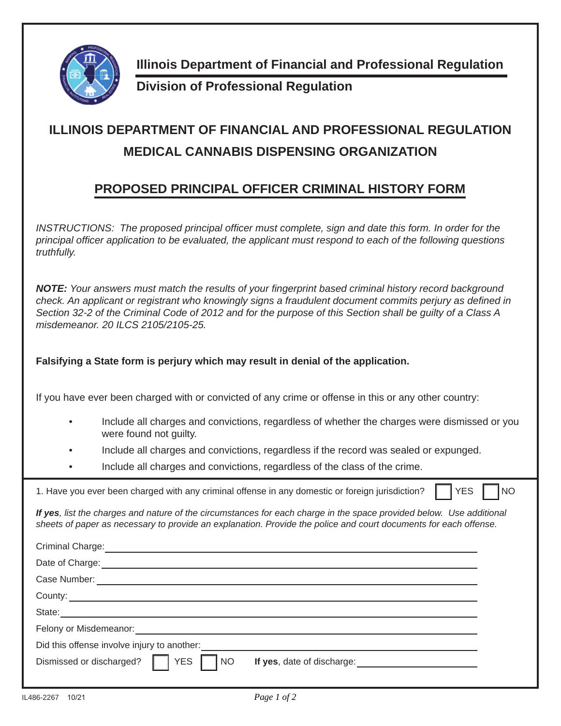

**Illinois Department of Financial and Professional Regulation**

**Division of Professional Regulation**

## **ILLINOIS DEPARTMENT OF FINANCIAL AND PROFESSIONAL REGULATION MEDICAL CANNABIS DISPENSING ORGANIZATION**

## **PROPOSED PRINCIPAL OFFICER CRIMINAL HISTORY FORM**

*INSTRUCTIONS: The proposed principal officer must complete, sign and date this form. In order for the principal offi cer application to be evaluated, the applicant must respond to each of the following questions truthfully.*

**NOTE:** Your answers must match the results of your fingerprint based criminal history record background *check. An applicant or registrant who knowingly signs a fraudulent document commits perjury as defined in Section 32-2 of the Criminal Code of 2012 and for the purpose of this Section shall be guilty of a Class A misdemeanor. 20 ILCS 2105/2105-25.*

## **Falsifying a State form is perjury which may result in denial of the application.**

If you have ever been charged with or convicted of any crime or offense in this or any other country:

- Include all charges and convictions, regardless of whether the charges were dismissed or you were found not guilty.
- Include all charges and convictions, regardless if the record was sealed or expunged.
- Include all charges and convictions, regardless of the class of the crime.

| 1. Have you ever been charged with any criminal offense in any domestic or foreign jurisdiction?<br><b>YES</b>                                                                                                                           | <b>NO</b> |
|------------------------------------------------------------------------------------------------------------------------------------------------------------------------------------------------------------------------------------------|-----------|
| If yes, list the charges and nature of the circumstances for each charge in the space provided below. Use additional<br>sheets of paper as necessary to provide an explanation. Provide the police and court documents for each offense. |           |
| Criminal Charge: <u>contract and contract and contract and contract and contract and contract and contract and contract and contract and contract and contract and contract and contract and contract and contract and contract </u>     |           |
| Date of Charge: <u>example and contract and contract and contract and contract and contract and contract and contract and contract and contract and contract and contract and contract and contract and contract and contract an</u>     |           |
|                                                                                                                                                                                                                                          |           |
|                                                                                                                                                                                                                                          |           |
|                                                                                                                                                                                                                                          |           |
| Felony or Misdemeanor: <u>contract and contract and contract and contract and contract and contract and contract and contract and contract and contract and contract and contract and contract and contract and contract and con</u>     |           |
| Did this offense involve injury to another:                                                                                                                                                                                              |           |
| <b>YES</b><br>Dismissed or discharged?<br><b>NO</b>                                                                                                                                                                                      |           |